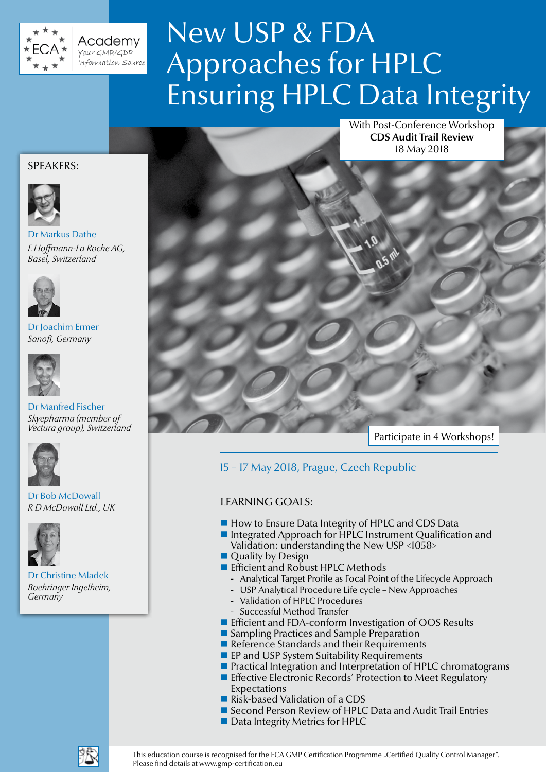

Academy Your GMP/GDP Information Source

# New USP & FDA Approaches for HPLC Ensuring HPLC Data Integrity

With Post-Conference Workshop **CDS Audit Trail Review** 18 May 2018

### SPEAKERS:



Dr Markus Dathe *F.Hoffmann-La Roche AG, Basel, Switzerland*



Dr Joachim Ermer *Sanofi, Germany*



### Dr Manfred Fischer *Skyepharma (member of Vectura group), Switzerland*



Dr Bob McDowall *R D McDowall Ltd., UK*



Dr Christine Mladek *Boehringer Ingelheim, Germany*

Participate in 4 Workshops!

15 – 17 May 2018, Prague, Czech Republic

### LEARNING GOALS:

- How to Ensure Data Integrity of HPLC and CDS Data
- Integrated Approach for HPLC Instrument Qualification and Validation: understanding the New USP <1058>
- **Quality by Design**
- **Efficient and Robust HPLC Methods** 
	- Analytical Target Profile as Focal Point of the Lifecycle Approach
	- USP Analytical Procedure Life cycle New Approaches
	- Validation of HPLC Procedures
	- Successful Method Transfer
- Efficient and FDA-conform Investigation of OOS Results
- **Sampling Practices and Sample Preparation**
- Reference Standards and their Requirements
- **EP and USP System Suitability Requirements**
- **Practical Integration and Interpretation of HPLC chromatograms**
- **Effective Electronic Records' Protection to Meet Regulatory** Expectations
- Risk-based Validation of a CDS
- Second Person Review of HPLC Data and Audit Trail Entries
- Data Integrity Metrics for HPLC



This education course is recognised for the ECA GMP Certification Programme "Certified Quality Control Manager". Please find details at www.gmp-certification.eu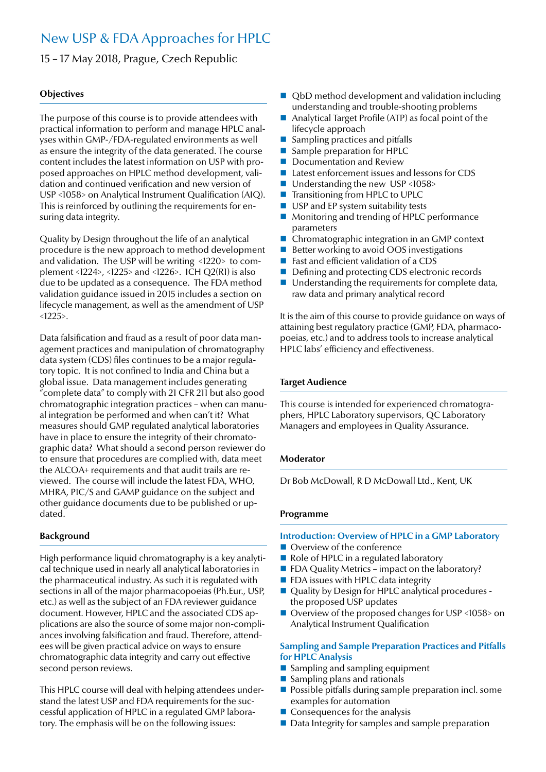## New USP & FDA Approaches for HPLC

15 – 17 May 2018, Prague, Czech Republic

### **Objectives**

The purpose of this course is to provide attendees with practical information to perform and manage HPLC analyses within GMP-/FDA-regulated environments as well as ensure the integrity of the data generated. The course content includes the latest information on USP with proposed approaches on HPLC method development, validation and continued verification and new version of USP <1058> on Analytical Instrument Qualification (AIQ). This is reinforced by outlining the requirements for ensuring data integrity.

Quality by Design throughout the life of an analytical procedure is the new approach to method development and validation. The USP will be writing <1220> to complement <1224>, <1225> and <1226>. ICH Q2(R1) is also due to be updated as a consequence. The FDA method validation guidance issued in 2015 includes a section on lifecycle management, as well as the amendment of USP <1225>.

Data falsification and fraud as a result of poor data management practices and manipulation of chromatography data system (CDS) files continues to be a major regulatory topic. It is not confined to India and China but a global issue. Data management includes generating "complete data" to comply with 21 CFR 211 but also good chromatographic integration practices – when can manual integration be performed and when can't it? What measures should GMP regulated analytical laboratories have in place to ensure the integrity of their chromatographic data? What should a second person reviewer do to ensure that procedures are complied with, data meet the ALCOA+ requirements and that audit trails are reviewed. The course will include the latest FDA, WHO, MHRA, PIC/S and GAMP guidance on the subject and other guidance documents due to be published or updated.

### **Background**

High performance liquid chromatography is a key analytical technique used in nearly all analytical laboratories in the pharmaceutical industry. As such it is regulated with sections in all of the major pharmacopoeias (Ph.Eur., USP, etc.) as well as the subject of an FDA reviewer guidance document. However, HPLC and the associated CDS applications are also the source of some major non-compliances involving falsification and fraud. Therefore, attendees will be given practical advice on ways to ensure chromatographic data integrity and carry out effective second person reviews.

This HPLC course will deal with helping attendees understand the latest USP and FDA requirements for the successful application of HPLC in a regulated GMP laboratory. The emphasis will be on the following issues:

- QbD method development and validation including understanding and trouble-shooting problems
- Analytical Target Profile (ATP) as focal point of the lifecycle approach
- Sampling practices and pitfalls
- Sample preparation for HPLC
- Documentation and Review
- Latest enforcement issues and lessons for CDS
- Understanding the new USP <1058>
- Transitioning from HPLC to UPLC
- USP and EP system suitability tests
- **Monitoring and trending of HPLC performance** parameters
- Chromatographic integration in an GMP context
- Better working to avoid OOS investigations
- Fast and efficient validation of a CDS
- Defining and protecting CDS electronic records
- Understanding the requirements for complete data, raw data and primary analytical record

It is the aim of this course to provide guidance on ways of attaining best regulatory practice (GMP, FDA, pharmacopoeias, etc.) and to address tools to increase analytical HPLC labs' efficiency and effectiveness.

### **Target Audience**

This course is intended for experienced chromatographers, HPLC Laboratory supervisors, QC Laboratory Managers and employees in Quality Assurance.

### **Moderator**

Dr Bob McDowall, R D McDowall Ltd., Kent, UK

### **Programme**

### **Introduction: Overview of HPLC in a GMP Laboratory**

- Overview of the conference
- Role of HPLC in a regulated laboratory
- $\blacksquare$  FDA Quality Metrics impact on the laboratory?
- **FDA** issues with HPLC data integrity
- Quality by Design for HPLC analytical procedures the proposed USP updates
- Overview of the proposed changes for USP <1058> on Analytical Instrument Qualification

### **Sampling and Sample Preparation Practices and Pitfalls for HPLC Analysis**

- $\blacksquare$  Sampling and sampling equipment
- $\blacksquare$  Sampling plans and rationals
- $\blacksquare$  Possible pitfalls during sample preparation incl. some examples for automation
- $\blacksquare$  Consequences for the analysis
- Data Integrity for samples and sample preparation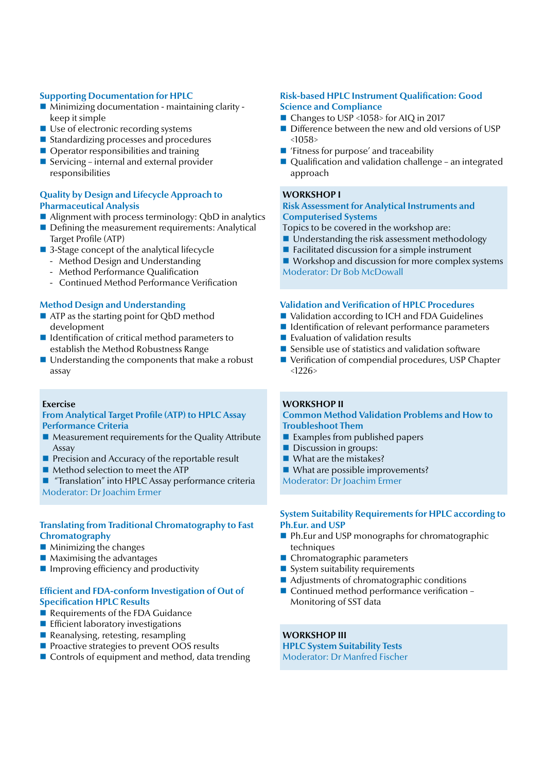### **Supporting Documentation for HPLC**

- Minimizing documentation maintaining clarity keep it simple
- Use of electronic recording systems
- Standardizing processes and procedures
- Operator responsibilities and training
- Servicing internal and external provider responsibilities

### **Quality by Design and Lifecycle Approach to Pharmaceutical Analysis**

- Alignment with process terminology: QbD in analytics
- Defining the measurement requirements: Analytical Target Profile (ATP)
- 3-Stage concept of the analytical lifecycle
	- Method Design and Understanding
	- Method Performance Qualification
	- Continued Method Performance Verification

### **Method Design and Understanding**

- ATP as the starting point for QbD method development
- Identification of critical method parameters to establish the Method Robustness Range
- Understanding the components that make a robust assay

### **Exercise**

### **From Analytical Target Profile (ATP) to HPLC Assay Performance Criteria**

- Measurement requirements for the Quality Attribute Assay
- $\blacksquare$  Precision and Accuracy of the reportable result
- $\blacksquare$  Method selection to meet the ATP
- "Translation" into HPLC Assay performance criteria Moderator: Dr Joachim Ermer

### **Translating from Traditional Chromatography to Fast Chromatography**

- $\blacksquare$  Minimizing the changes
- **Maximising the advantages**
- $\blacksquare$  Improving efficiency and productivity

### **Efficient and FDA-conform Investigation of Out of Specification HPLC Results**

- Requirements of the FDA Guidance
- **Efficient laboratory investigations**
- Reanalysing, retesting, resampling
- **Proactive strategies to prevent OOS results**
- Controls of equipment and method, data trending

### **Risk-based HPLC Instrument Qualification: Good Science and Compliance**

- Changes to USP <1058> for AIQ in 2017
- Difference between the new and old versions of USP  $<1058$
- 'Fitness for purpose' and traceability
- Qualification and validation challenge an integrated approach

### **WORKSHOP I**

### **Risk Assessment for Analytical Instruments and Computerised Systems**

Topics to be covered in the workshop are:

- Understanding the risk assessment methodology
- $\blacksquare$  Facilitated discussion for a simple instrument
- Workshop and discussion for more complex systems Moderator: Dr Bob McDowall

### **Validation and Verification of HPLC Procedures**

- Validation according to ICH and FDA Guidelines
- Identification of relevant performance parameters
- **Exaluation of validation results**
- Sensible use of statistics and validation software
- Verification of compendial procedures, USP Chapter  $<1226>$

### **WORKSHOP II**

### **Common Method Validation Problems and How to Troubleshoot Them**

- $\blacksquare$  Examples from published papers
- Discussion in groups:
- What are the mistakes?
- What are possible improvements?

Moderator: Dr Joachim Ermer

### **System Suitability Requirements for HPLC according to Ph.Eur. and USP**

- Ph.Eur and USP monographs for chromatographic techniques
- Chromatographic parameters
- $\blacksquare$  System suitability requirements
- Adjustments of chromatographic conditions
- Continued method performance verification -Monitoring of SST data

**WORKSHOP III HPLC System Suitability Tests**

Moderator: Dr Manfred Fischer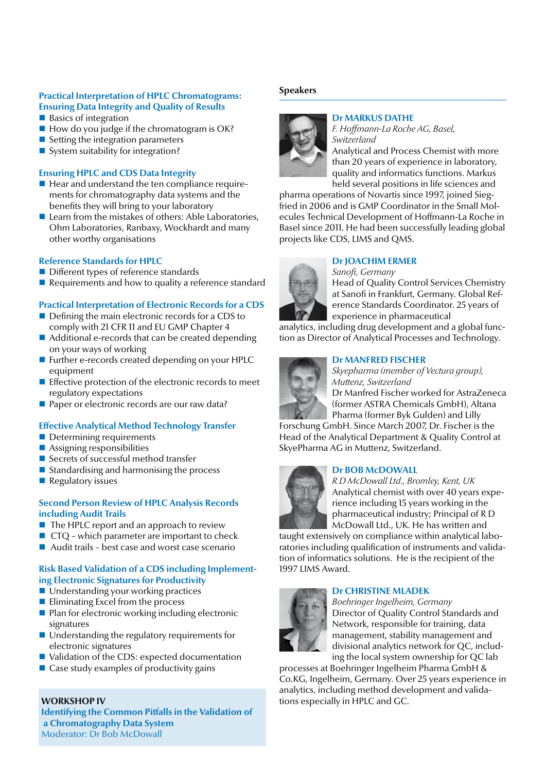### **Practical Interpretation of HPLC Chromatograms: Ensuring Data Integrity and Quality of Results**

- Basics of integration
- $\blacksquare$  How do you judge if the chromatogram is OK?
- $\blacksquare$  Setting the integration parameters
- System suitability for integration?

### **Ensuring HPLC and CDS Data Integrity**

- $\blacksquare$  Hear and understand the ten compliance requirements for chromatography data systems and the benefits they will bring to your laboratory
- Learn from the mistakes of others: Able Laboratories, Ohm Laboratories, Ranbaxy, Wockhardt and many other worthy organisations

### **Reference Standards for HPLC**

- Different types of reference standards
- Requirements and how to quality a reference standard

### **Practical Interpretation of Electronic Records for a CDS**

- Defining the main electronic records for a CDS to comply with 21 CFR 11 and EU GMP Chapter 4
- Additional e-records that can be created depending on your ways of working
- Further e-records created depending on your HPLC equipment
- $\blacksquare$  Effective protection of the electronic records to meet regulatory expectations
- **Paper or electronic records are our raw data?**

### **Effective Analytical Method Technology Transfer**

- $\blacksquare$  Determining requirements
- $\blacksquare$  Assigning responsibilities
- Secrets of successful method transfer
- $\blacksquare$  Standardising and harmonising the process
- $\blacksquare$  Regulatory issues

### **Second Person Review of HPLC Analysis Records including Audit Trails**

- $\blacksquare$  The HPLC report and an approach to review
- $\blacksquare$  CTQ which parameter are important to check
- $\blacksquare$  Audit trails best case and worst case scenario

### **Risk Based Validation of a CDS including Implementing Electronic Signatures for Productivity**

- Understanding your working practices
- $\blacksquare$  Eliminating Excel from the process
- $\blacksquare$  Plan for electronic working including electronic signatures
- Understanding the regulatory requirements for electronic signatures
- Validation of the CDS: expected documentation
- $\blacksquare$  Case study examples of productivity gains

### **WORKSHOP IV**

**Identifying the Common Pitfalls in the Validation of a Chromatography Data System** Moderator: Dr Bob McDowall

### **Speakers**



### **Dr MARKUS DATHE**

*F. Hoffmann-La Roche AG, Basel, Switzerland*

Analytical and Process Chemist with more than 20 years of experience in laboratory, quality and informatics functions. Markus held several positions in life sciences and

pharma operations of Novartis since 1997, joined Siegfried in 2006 and is GMP Coordinator in the Small Molecules Technical Development of Hoffmann-La Roche in Basel since 2011. He had been successfully leading global projects like CDS, LIMS and QMS.

### **Dr JOACHIM ERMER** *Sanofi, Germany*

Head of Quality Control Services Chemistry at Sanofi in Frankfurt, Germany. Global Reference Standards Coordinator. 25 years of experience in pharmaceutical

analytics, including drug development and a global function as Director of Analytical Processes and Technology.

### **Dr MANFRED FISCHER**



*Skyepharma (member of Vectura group), Muttenz, Switzerland*

Dr Manfred Fischer worked for AstraZeneca (former ASTRA Chemicals GmbH), Altana Pharma (former Byk Gulden) and Lilly

Forschung GmbH. Since March 2007, Dr. Fischer is the Head of the Analytical Department & Quality Control at SkyePharma AG in Muttenz, Switzerland.

### **Dr BOB McDOWALL**



*R D McDowall Ltd., Bromley, Kent, UK* Analytical chemist with over 40 years experience including 15 years working in the pharmaceutical industry; Principal of R D McDowall Ltd., UK. He has written and

taught extensively on compliance within analytical laboratories including qualification of instruments and validation of informatics solutions. He is the recipient of the 1997 LIMS Award.

### **Dr CHRISTINE MLADEK**

*Boehringer Ingelheim, Germany* Director of Quality Control Standards and Network, responsible for training, data management, stability management and divisional analytics network for QC, including the local system ownership for QC lab

processes at Boehringer Ingelheim Pharma GmbH & Co.KG, Ingelheim, Germany. Over 25 years experience in analytics, including method development and validations especially in HPLC and GC.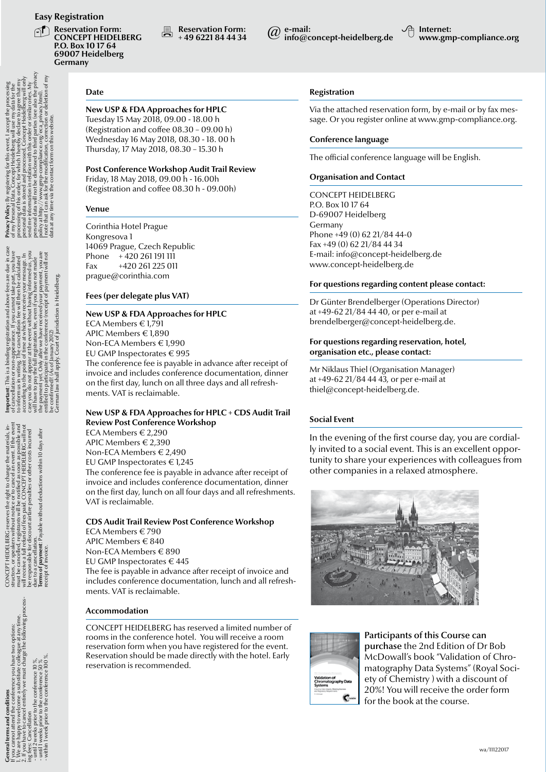**Reservation Form: CONCEPT HEIDELBERG P.O. Box 10 17 64 69007 Heidelberg Germany**

**Reservation Form:**<br>  $\bullet$  + 49 6221 84 44 34 **@ info@c** 

**info@concept-heidelberg.de Internet:**

**www.gmp-compliance.org**

### **Date**

**New USP & FDA Approaches for HPLC** Tuesday 15 May 2018, 09.00 - 18.00 h (Registration and coffee 08.30 – 09.00 h) Wednesday 16 May 2018, 08.30 - 18. 00 h Thursday, 17 May 2018, 08.30 – 15.30 h

### **Post Conference Workshop Audit Trail Review**

Friday, 18 May 2018, 09.00 h - 16.00h (Registration and coffee 08.30 h - 09.00h)

### **Venue**

Corinthia Hotel Prague Kongresova 1 14069 Prague, Czech Republic Phone + 420 261 191 111 Fax +420 261 225 011 prague@corinthia.com

### **Fees (per delegate plus VAT)**

### **New USP & FDA Approaches for HPLC**

ECA Members € 1,791 APIC Members € 1,890 Non-ECA Members € 1,990 EU GMP Inspectorates € 995 The conference fee is payable in advance after receipt of

invoice and includes conference documentation, dinner on the first day, lunch on all three days and all refreshments. VAT is reclaimable.

### **New USP & FDA Approaches for HPLC + CDS Audit Trail Review Post Conference Workshop**

ECA Members € 2,290 APIC Members € 2,390 Non-ECA Members € 2,490 EU GMP Inspectorates € 1,245 The conference fee is payable in advance after receipt of invoice and includes conference documentation, dinner on the first day, lunch on all four days and all refreshments. VAT is reclaimable.

### **CDS Audit Trail Review Post Conference Workshop**

ECA Members € 790 APIC Members € 840 Non-ECA Members € 890 EU GMP Inspectorates € 445 The fee is payable in advance after receipt of invoice and includes conference documentation, lunch and all refreshments. VAT is reclaimable.

### **Accommodation**

CONCEPT HEIDELBERG has reserved a limited number of rooms in the conference hotel. You will receive a room reservation form when you have registered for the event. Reservation should be made directly with the hotel. Early reservation is recommended.

### **Registration**

Via the attached reservation form, by e-mail or by fax message. Or you register online at www.gmp-compliance.org.

### **Conference language**

The official conference language will be English.

### **Organisation and Contact**

CONCEPT HEIDELBERG P.O. Box 10 17 64 D-69007 Heidelberg Germany Phone +49 (0) 62 21/84 44-0 Fax +49 (0) 62 21/84 44 34 E-mail: info@concept-heidelberg.de www.concept-heidelberg.de

### **For questions regarding content please contact:**

Dr Günter Brendelberger (Operations Director) at +49-62 21/84 44 40, or per e-mail at brendelberger@concept-heidelberg.de.

### **For questions regarding reservation, hotel, organisation etc., please contact:**

Mr Niklaus Thiel (Organisation Manager) at +49-62 21/84 44 43, or per e-mail at thiel@concept-heidelberg.de.

### **Social Event**

In the evening of the first course day, you are cordially invited to a social event. This is an excellent opportunity to share your experiences with colleagues from other companies in a relaxed atmosphere.





Participants of this Course can purchase the 2nd Edition of Dr Bob McDowall's book "Validation of Chromatography Data Systems" (Royal Society of Chemistry ) with a discount of 20%! You will receive the order form for the book at the course.

delberg will use<br>I hereby declare<br>sed. Concept He<br>th this order or s<br>to third parties<br>ance.org/eca\_p<br>ance.org/eca\_p mai Diata Concept Heide<br>of this order, for which I h<br>tai is store in and processing the state is store in and process<br>tai is store in and processing<br>a will not be disclosed to:<br>Di/www.gmp-complian<br>inve via the contact form **Privacy Policy:**<br>
of my Personal L<br>
of my Personal L<br>
processing of this<br>
processing the middle process and data with<br>
process and data in the law of the law of the law<br>
process and data the law of the data at any time<br>

**General terms and conditions**<br>In a conditions and conditions the convert HIDCLERG reserves the right of the other and and the main of the controller and above fees are due in case. Principly by registering for this even, sulated<br>sage. In<br>d us, you<br>. made<br>t will not **nt:** This is a binding registration and above fees are due in<br>lation or non-appearance. If you can above fees are due in<br>lation or non-appearance. If you can like heart, you that is a good to consider the point of time a Important This<br>of cancellation<br>to inform us in we<br>case young to the case<br>case young to the pay<br>will have to pay<br>the payment yet<br>the payment yet of the condition

days  $\overline{10}$ on speakers winour increased and the same of the speaker of the speaker of the speaker of the speaker of the speaker of the speaker of the speaker of the speaker of the speaker of the speaker with  $\alpha$ structors, or s<br>must be cance<br>will receive a<br>be responsible<br>due to a cance<br>**Terms of pay**<br>**Terms of pay** 

e conference you have two option<br>come a substitute colleague at any<br>entirely we must charge the follov ference 10 %,<br>erence 50 %<br>ference 100 % conf **General terms and conditions** care